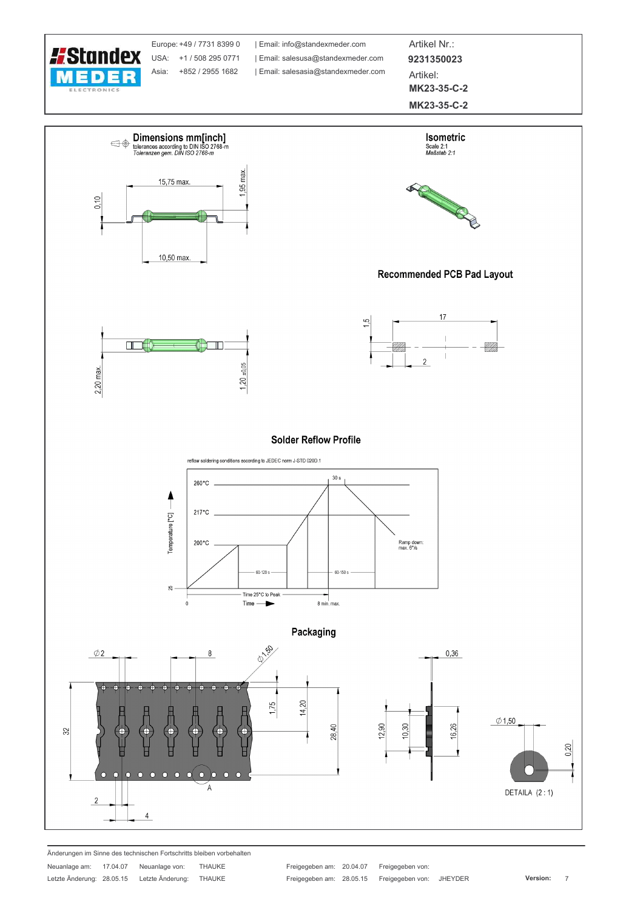

Änderungen im Sinne des technischen Fortschritts bleiben vorbehalten

Neuanlage am: 17.04.07 Neuanlage von: **THAUKE** Letzte Änderung: 28.05.15 Letzte Änderung: THAUKE